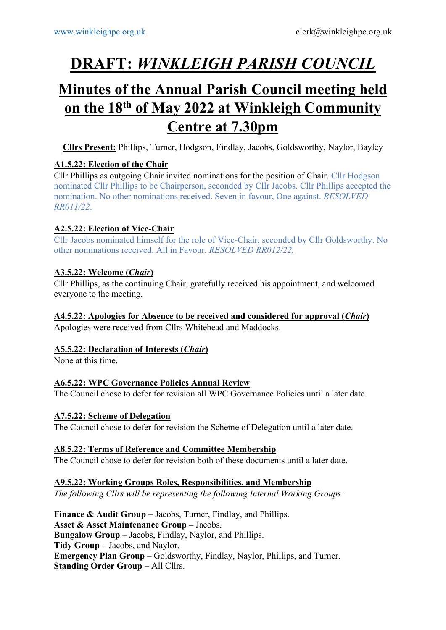# **DRAFT:** *WINKLEIGH PARISH COUNCIL*

# **Minutes of the Annual Parish Council meeting held on the 18th of May 2022 at Winkleigh Community Centre at 7.30pm**

**Cllrs Present:** Phillips, Turner, Hodgson, Findlay, Jacobs, Goldsworthy, Naylor, Bayley

# **A1.5.22: Election of the Chair**

Cllr Phillips as outgoing Chair invited nominations for the position of Chair. Cllr Hodgson nominated Cllr Phillips to be Chairperson, seconded by Cllr Jacobs. Cllr Phillips accepted the nomination. No other nominations received. Seven in favour, One against. *RESOLVED RR011/22*.

# **A2.5.22: Election of Vice-Chair**

Cllr Jacobs nominated himself for the role of Vice-Chair, seconded by Cllr Goldsworthy. No other nominations received. All in Favour. *RESOLVED RR012/22.*

# **A3.5.22: Welcome (***Chair***)**

Cllr Phillips, as the continuing Chair, gratefully received his appointment, and welcomed everyone to the meeting.

# **A4.5.22: Apologies for Absence to be received and considered for approval (***Chair***)**

Apologies were received from Cllrs Whitehead and Maddocks.

# **A5.5.22: Declaration of Interests (***Chair***)**

None at this time.

# **A6.5.22: WPC Governance Policies Annual Review**

The Council chose to defer for revision all WPC Governance Policies until a later date.

# **A7.5.22: Scheme of Delegation**

The Council chose to defer for revision the Scheme of Delegation until a later date.

# **A8.5.22: Terms of Reference and Committee Membership**

The Council chose to defer for revision both of these documents until a later date.

# **A9.5.22: Working Groups Roles, Responsibilities, and Membership**

*The following Cllrs will be representing the following Internal Working Groups:*

**Finance & Audit Group –** Jacobs, Turner, Findlay, and Phillips. **Asset & Asset Maintenance Group –** Jacobs. **Bungalow Group** – Jacobs, Findlay, Naylor, and Phillips. **Tidy Group –** Jacobs, and Naylor. **Emergency Plan Group –** Goldsworthy, Findlay, Naylor, Phillips, and Turner. **Standing Order Group – All Cllrs.**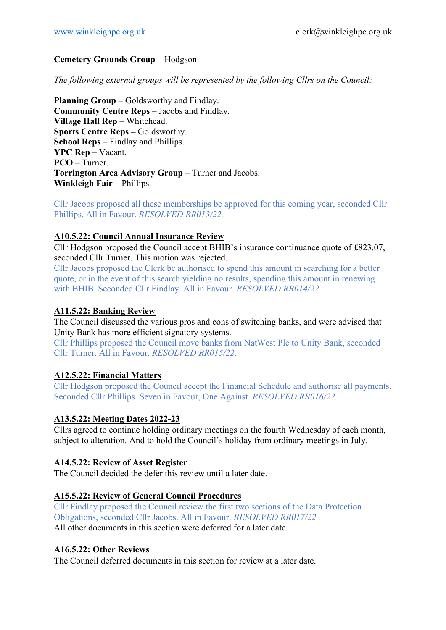#### **Cemetery Grounds Group –** Hodgson.

*The following external groups will be represented by the following Cllrs on the Council:*

**Planning Group** – Goldsworthy and Findlay. **Community Centre Reps – Jacobs and Findlay. Village Hall Rep –** Whitehead. **Sports Centre Reps –** Goldsworthy. **School Reps** – Findlay and Phillips. **YPC Rep** – Vacant. **PCO** – Turner. **Torrington Area Advisory Group** – Turner and Jacobs. **Winkleigh Fair - Phillips.** 

Cllr Jacobs proposed all these memberships be approved for this coming year, seconded Cllr Phillips. All in Favour. *RESOLVED RR013/22.*

#### **A10.5.22: Council Annual Insurance Review**

Cllr Hodgson proposed the Council accept BHIB's insurance continuance quote of £823.07, seconded Cllr Turner. This motion was rejected.

Cllr Jacobs proposed the Clerk be authorised to spend this amount in searching for a better quote, or in the event of this search yielding no results, spending this amount in renewing with BHIB. Seconded Cllr Findlay. All in Favour. *RESOLVED RR014/22.*

#### **A11.5.22: Banking Review**

The Council discussed the various pros and cons of switching banks, and were advised that Unity Bank has more efficient signatory systems.

Cllr Phillips proposed the Council move banks from NatWest Plc to Unity Bank, seconded Cllr Turner. All in Favour. *RESOLVED RR015/22.*

#### **A12.5.22: Financial Matters**

Cllr Hodgson proposed the Council accept the Financial Schedule and authorise all payments, Seconded Cllr Phillips. Seven in Favour, One Against. *RESOLVED RR016/22.*

#### **A13.5.22: Meeting Dates 2022-23**

Cllrs agreed to continue holding ordinary meetings on the fourth Wednesday of each month, subject to alteration. And to hold the Council's holiday from ordinary meetings in July.

#### **A14.5.22: Review of Asset Register**

The Council decided the defer this review until a later date.

#### **A15.5.22: Review of General Council Procedures**

Cllr Findlay proposed the Council review the first two sections of the Data Protection Obligations, seconded Cllr Jacobs. All in Favour. *RESOLVED RR017/22.* All other documents in this section were deferred for a later date.

#### **A16.5.22: Other Reviews**

The Council deferred documents in this section for review at a later date.